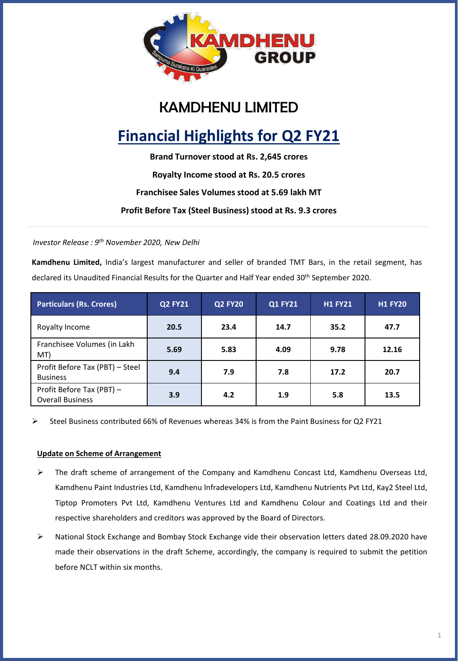

# KAMDHENU LIMITED

# **Financial Highlights for Q2 FY21**

**Brand Turnover stood at Rs. 2,645 crores**

**Royalty Income stood at Rs. 20.5 crores**

### **Franchisee Sales Volumes stood at 5.69 lakh MT**

**Profit Before Tax (Steel Business) stood at Rs. 9.3 crores**

*Investor Release : 9 th November 2020, New Delhi*

**Kamdhenu Limited,** India's largest manufacturer and seller of branded TMT Bars, in the retail segment, has declared its Unaudited Financial Results for the Quarter and Half Year ended 30<sup>th</sup> September 2020.

| <b>Particulars (Rs. Crores)</b>                      | <b>Q2 FY21</b> | <b>Q2 FY20</b> | <b>Q1 FY21</b> | <b>H1 FY21</b> | <b>H1 FY20</b> |
|------------------------------------------------------|----------------|----------------|----------------|----------------|----------------|
| Royalty Income                                       | 20.5           | 23.4           | 14.7           | 35.2           | 47.7           |
| Franchisee Volumes (in Lakh<br>MT)                   | 5.69           | 5.83           | 4.09           | 9.78           | 12.16          |
| Profit Before Tax (PBT) - Steel<br><b>Business</b>   | 9.4            | 7.9            | 7.8            | 17.2           | 20.7           |
| Profit Before Tax (PBT) -<br><b>Overall Business</b> | 3.9            | 4.2            | 1.9            | 5.8            | 13.5           |

➢ Steel Business contributed 66% of Revenues whereas 34% is from the Paint Business for Q2 FY21

#### **Update on Scheme of Arrangement**

- ➢ The draft scheme of arrangement of the Company and Kamdhenu Concast Ltd, Kamdhenu Overseas Ltd, Kamdhenu Paint Industries Ltd, Kamdhenu lnfradevelopers Ltd, Kamdhenu Nutrients Pvt Ltd, Kay2 Steel Ltd, Tiptop Promoters Pvt Ltd, Kamdhenu Ventures Ltd and Kamdhenu Colour and Coatings Ltd and their respective shareholders and creditors was approved by the Board of Directors.
- ➢ National Stock Exchange and Bombay Stock Exchange vide their observation letters dated 28.09.2020 have made their observations in the draft Scheme, accordingly, the company is required to submit the petition before NCLT within six months.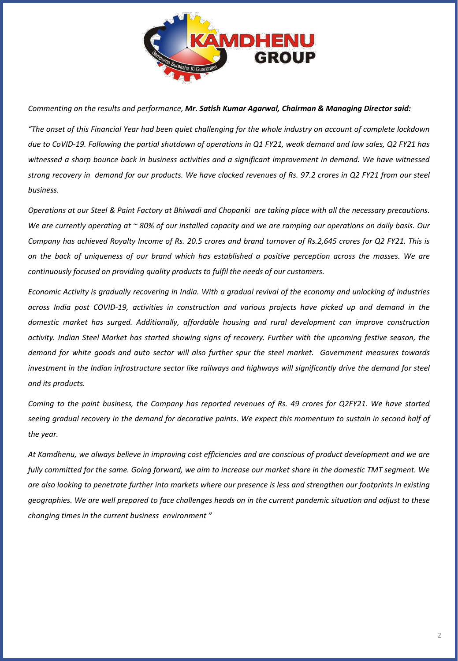

*Commenting on the results and performance, Mr. Satish Kumar Agarwal, Chairman & Managing Director said:*

"The onset of this Financial Year had been quiet challenging for the whole industry on account of complete lockdown due to CoVID-19. Following the partial shutdown of operations in Q1 FY21, weak demand and low sales, Q2 FY21 has witnessed a sharp bounce back in business activities and a sianificant improvement in demand. We have witnessed strong recovery in demand for our products. We have clocked revenues of Rs. 97.2 crores in Q2 FY21 from our steel *business.*

Operations at our Steel & Paint Factory at Bhiwadi and Chopanki are taking place with all the necessary precautions. We are currently operating at  $\sim$  80% of our installed capacity and we are ramping our operations on daily basis. Our Company has achieved Royalty Income of Rs. 20.5 crores and brand turnover of Rs.2,645 crores for Q2 FY21. This is on the back of uniqueness of our brand which has established a positive perception across the masses. We are *continuously focused on providing quality products to fulfil the needs of our customers.*

Economic Activity is aradually recovering in India. With a gradual revival of the economy and unlocking of industries across India post COVID-19, activities in construction and various projects have picked up and demand in the *domestic market has surged. Additionally, affordable housing and rural development can improve construction* activity. Indian Steel Market has started showing signs of recovery. Further with the upcoming festive season, the demand for white goods and auto sector will also further spur the steel market. Government measures towards investment in the Indian infrastructure sector like railways and highways will significantly drive the demand for steel *and its products.*

Coming to the paint business, the Company has reported revenues of Rs. 49 crores for Q2FY21. We have started seeing gradual recovery in the demand for decorative paints. We expect this momentum to sustain in second half of *the year.*

At Kamdhenu, we always believe in improving cost efficiencies and are conscious of product development and we are fully committed for the same. Going forward, we aim to increase our market share in the domestic TMT segment. We are also looking to penetrate further into markets where our presence is less and strengthen our footprints in existing geographies. We are well prepared to face challenges heads on in the current pandemic situation and adjust to these *changing times in the current business environment "*